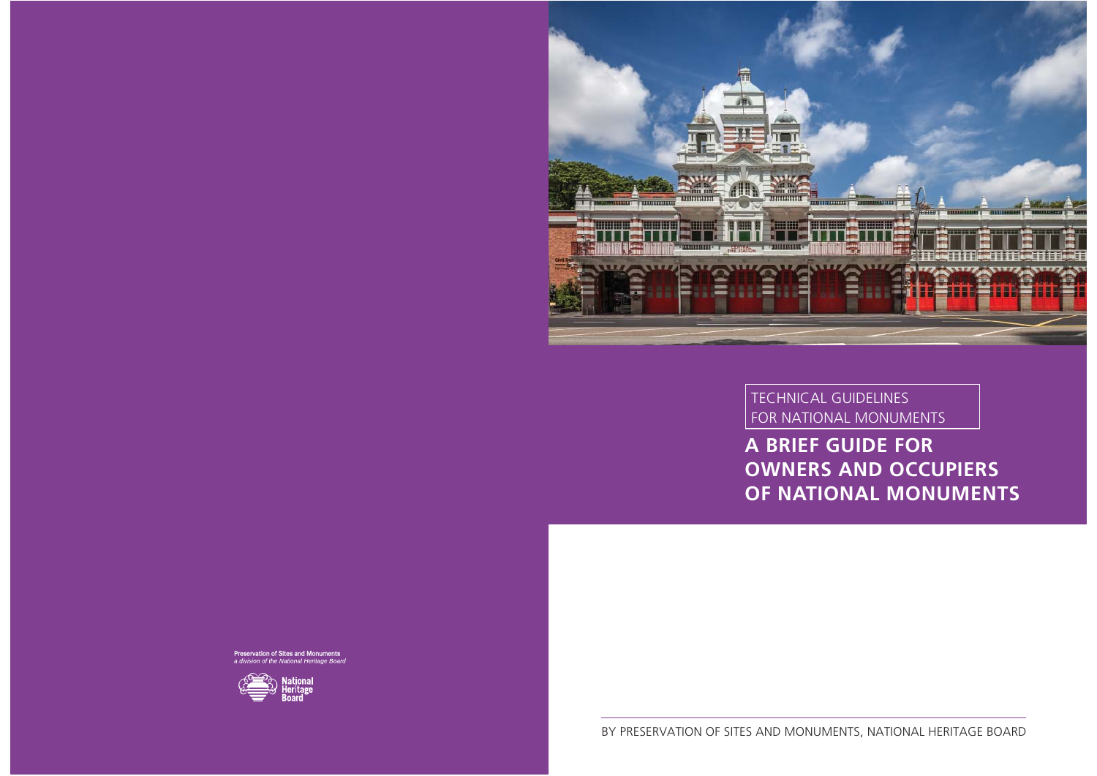

Preservation of Sites and Monuments<br>a division of the National Heritage Board



**A BRIEF GUIDE FOR OWNERS AND OCCUPIERS OF NATIONAL MONUMENTS**

TECHNICAL GUIDELINES FOR NATIONAL MONUMENTS

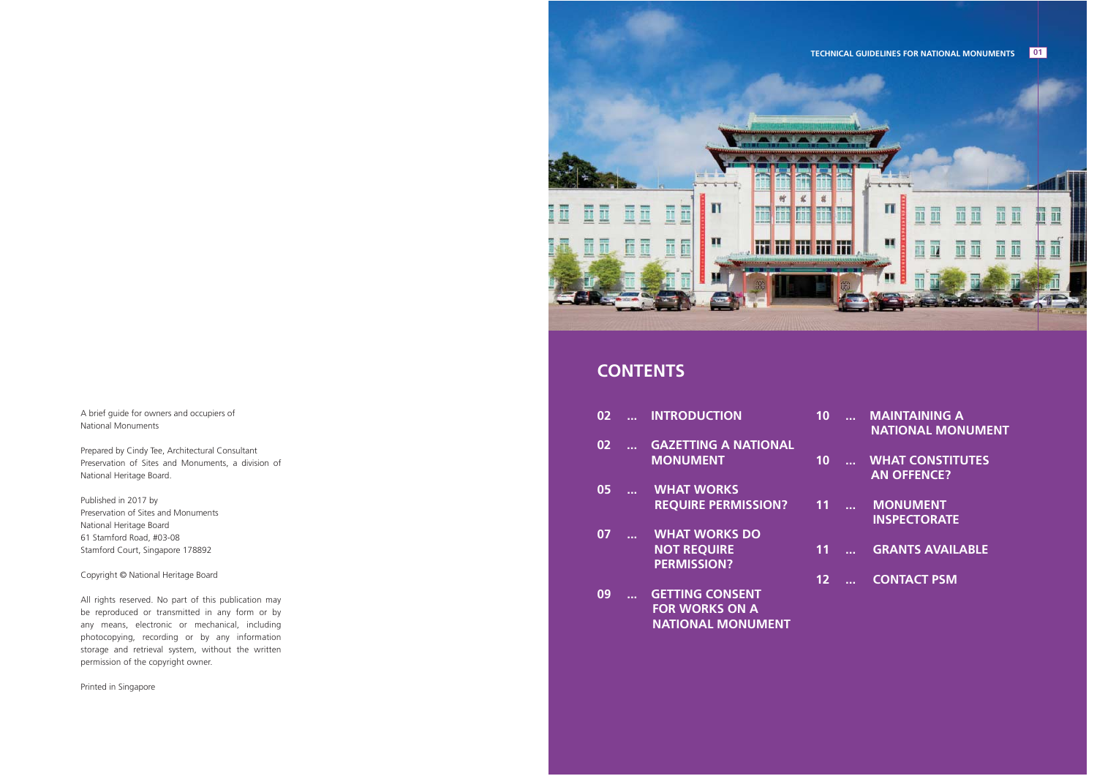A brief guide for owners and occupiers of National Monuments

Prepared by Cindy Tee, Architectural Consultant Preservation of Sites and Monuments, a division of National Heritage Board.

Published in 2017 by Preservation of Sites and MonumentsNational Heritage Board 61 Stamford Road, #03-08 Stamford Court, Singapore 178892

Copyright © National Heritage Board

All rights reserved. No part of this publication may be reproduced or transmitted in any form or by any means, electronic or mechanical, including photocopying, recording or by any information storage and retrieval system, without the written permission of the copyright owner.

Printed in Singapore



## **CONTENTS**

| 02 | . <i>.</i> | <b>INTRODUCTION</b> |  |
|----|------------|---------------------|--|
|----|------------|---------------------|--|

- **02 ... GAZETTING A NATIONAL MONUMENT**
- **05 ... WHAT WORKS REQUIRE PERMISSION?**
- **07 ... WHAT WORKS DO NOT REQUIRE PERMISSION?**
- **09 ... GETTING CONSENT FOR WORKS ON A NATIONAL MONUMENT**
- **10 ... MAINTAINING A NATIONAL MONUMENT**
- **10 ... WHAT CONSTITUTES**  *AN OFFENCE?*
- **11 ... MONUMENT**  *INSPECTORATE*
- **11 ... GRANTS AVAILABLE**
- **12 ... CONTACT PSM**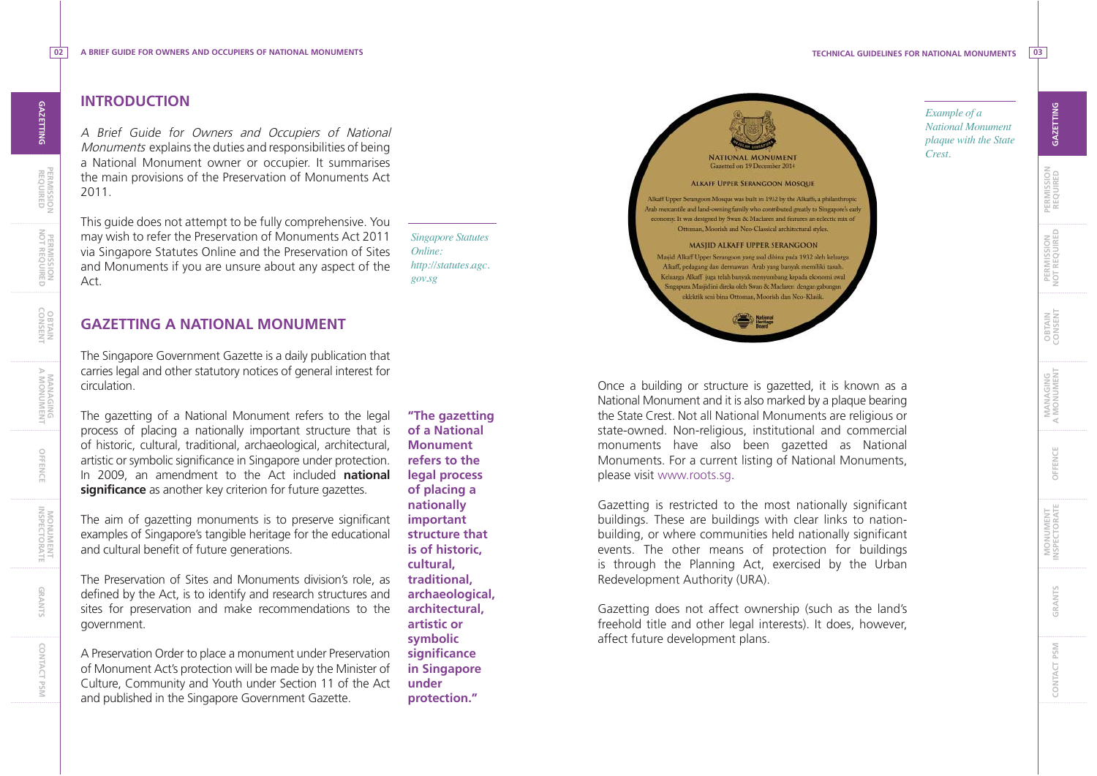*Example of a National Monument plaque with the State* 

*Crest.*

**PERMISSION**

**PERMISSION<br>REQUIRED** 

**OBTAIN CONSENT**

**OBTAIN**<br>CONSENT

**PERMISSION NOT REQUIRED**

PERMISSION<br>NOT REQUIRED

**MANAGING A MONUMENT**

MANAGING<br>A MONUMENT

**OFFENCE**

OFFENCE

**MONUMENT INSPECTORATE**

MONUMENT

**GRANTS**

GRANTS

**REQUIRED GAZETTING**

GAZETTING

# **INTRODUCTIONGAZETTING**

A Brief Guide for Owners and Occupiers of National Monuments explains the duties and responsibilities of being a National Monument owner or occupier. It summarises the main provisions of the Preservation of Monuments Act 2011.

This guide does not attempt to be fully comprehensive. You may wish to refer the Preservation of Monuments Act 2011 via Singapore Statutes Online and the Preservation of Sites and Monuments if you are unsure about any aspect of the Act.

*Singapore Statutes Online: http://statutes.agc. gov.sg*

#### **GAZETTING A NATIONAL MONUMENT**

The Singapore Government Gazette is a daily publication that carries legal and other statutory notices of general interest for circulation.

The gazetting of a National Monument refers to the legal process of placing a nationally important structure that is of historic, cultural, traditional, archaeological, architectural, artistic or symbolic significance in Singapore under protection. In 2009, an amendment to the Act included **national significance** as another key criterion for future gazettes.

The aim of gazetting monuments is to preserve significant examples of Singapore's tangible heritage for the educational and cultural benefit of future generations.

The Preservation of Sites and Monuments division's role, as defined by the Act, is to identify and research structures and sites for preservation and make recommendations to the government.

A Preservation Order to place a monument under Preservation of Monument Act's protection will be made by the Minister of Culture, Community and Youth under Section 11 of the Act and published in the Singapore Government Gazette.

**"The gazetting of a National Monument refers to the legal process of placing a nationally important structure that is of historic, cultural, traditional, archaeological, architectural, artistic or symbolic significance in Singapore under protection."**



Once a building or structure is gazetted, it is known as a National Monument and it is also marked by a plaque bearing the State Crest. Not all National Monuments are religious or state-owned. Non-religious, institutional and commercial monuments have also been gazetted as National Monuments. For a current listing of National Monuments, please visit www.roots.sg.

Gazetting is restricted to the most nationally significant buildings. These are buildings with clear links to nationbuilding, or where communities held nationally significant events. The other means of protection for buildings is through the Planning Act, exercised by the Urban Redevelopment Authority (URA).

Gazetting does not affect ownership (such as the land's freehold title and other legal interests). It does, however, affect future development plans.

**GAZETTING**

**OBTAIN CONSENT**

**GRANTS**

**CONTACT PSM**

CONTACT PSM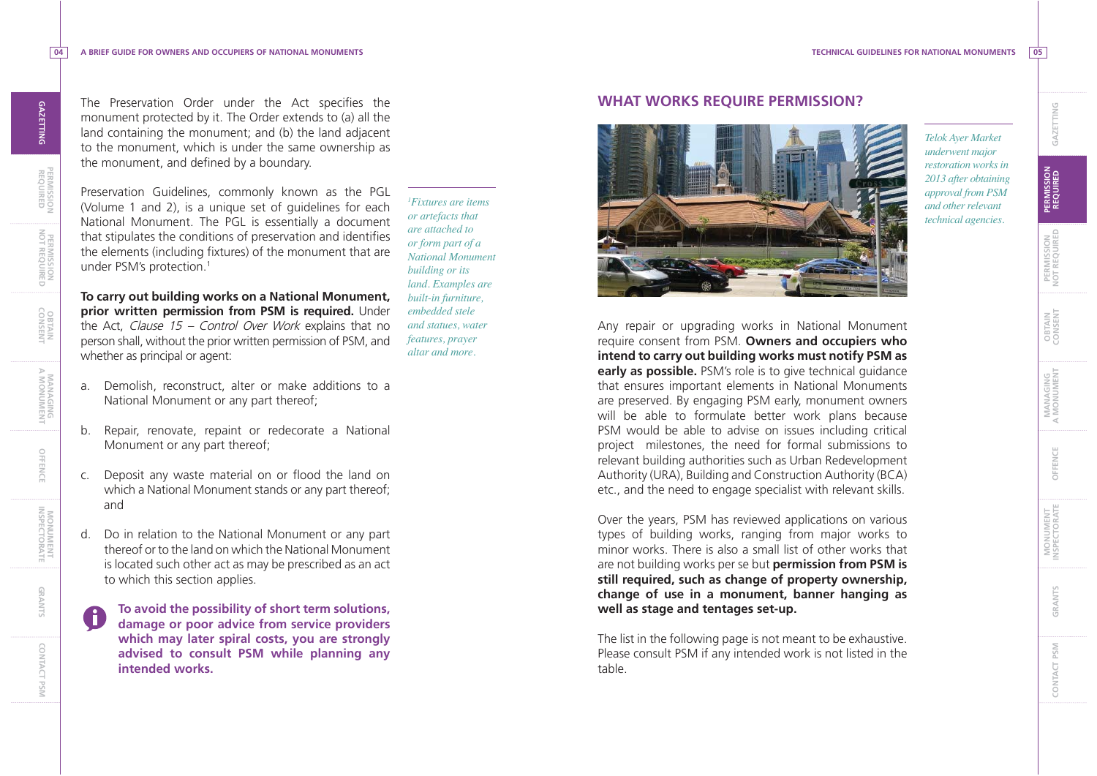**PERMISSION**

**PERMISSION PERMISSION PERMISSION NOT REQUIRED**

**OBTAIN CONSENT**

**MANAGING A MONUMENT**

MANAGING<br>A MONUMENT

**OFFENCE**

**MONUMENT INSPECTORATE**

MONUMENT<br>INSPECTORATE

**GRANTS**

**CONTACT PSM**

CONTACT PSM

**04**

The Preservation Order under the Act specifies the monument protected by it. The Order extends to (a) all the land containing the monument; and (b) the land adjacent to the monument, which is under the same ownership as the monument, and defined by a boundary.

Preservation Guidelines, commonly known as the PGL (Volume 1 and 2), is a unique set of guidelines for each National Monument. The PGL is essentially a document that stipulates the conditions of preservation and identifies the elements (including fixtures) of the monument that are under PSM's protection.<sup>1</sup>

**To carry out building works on a National Monument, prior written permission from PSM is required.** Under the Act, Clause 15 – Control Over Work explains that no person shall, without the prior written permission of PSM, and whether as principal or agent:

- a. Demolish, reconstruct, alter or make additions to a National Monument or any part thereof;
- b. Repair, renovate, repaint or redecorate a National Monument or any part thereof;
- c. Deposit any waste material on or flood the land on which a National Monument stands or any part thereof; and
- d. Do in relation to the National Monument or any part thereof or to the land on which the National Monument is located such other act as may be prescribed as an act to which this section applies.
	- **To avoid the possibility of short term solutions, damage or poor advice from service providers which may later spiral costs, you are strongly advised to consult PSM while planning any intended works.**

### *1Fixtures are items or artefacts that are attached to or form part of a National Monument building or its land. Examples are*

*built-in furniture, embedded stele and statues, water features, prayer altar and more.*

#### **WHAT WORKS REQUIRE PERMISSION?**



*Telok Ayer Market underwent major restoration works in 2013 after obtaining approval from PSM and other relevant technical agencies.*

Any repair or upgrading works in National Monument require consent from PSM. **Owners and occupiers who intend to carry out building works must notify PSM as early as possible.** PSM's role is to give technical guidance that ensures important elements in National Monuments are preserved. By engaging PSM early, monument owners will be able to formulate better work plans because PSM would be able to advise on issues including critical project milestones, the need for formal submissions to relevant building authorities such as Urban Redevelopment Authority (URA), Building and Construction Authority (BCA) etc., and the need to engage specialist with relevant skills.

Over the years, PSM has reviewed applications on various types of building works, ranging from major works to minor works. There is also a small list of other works that are not building works per se but **permission from PSM is still required, such as change of property ownership, change of use in a monument, banner hanging as well as stage and tentages set-up.** 

The list in the following page is not meant to be exhaustive. Please consult PSM if any intended work is not listed in the table.

**OFFENCE**

OFFENCE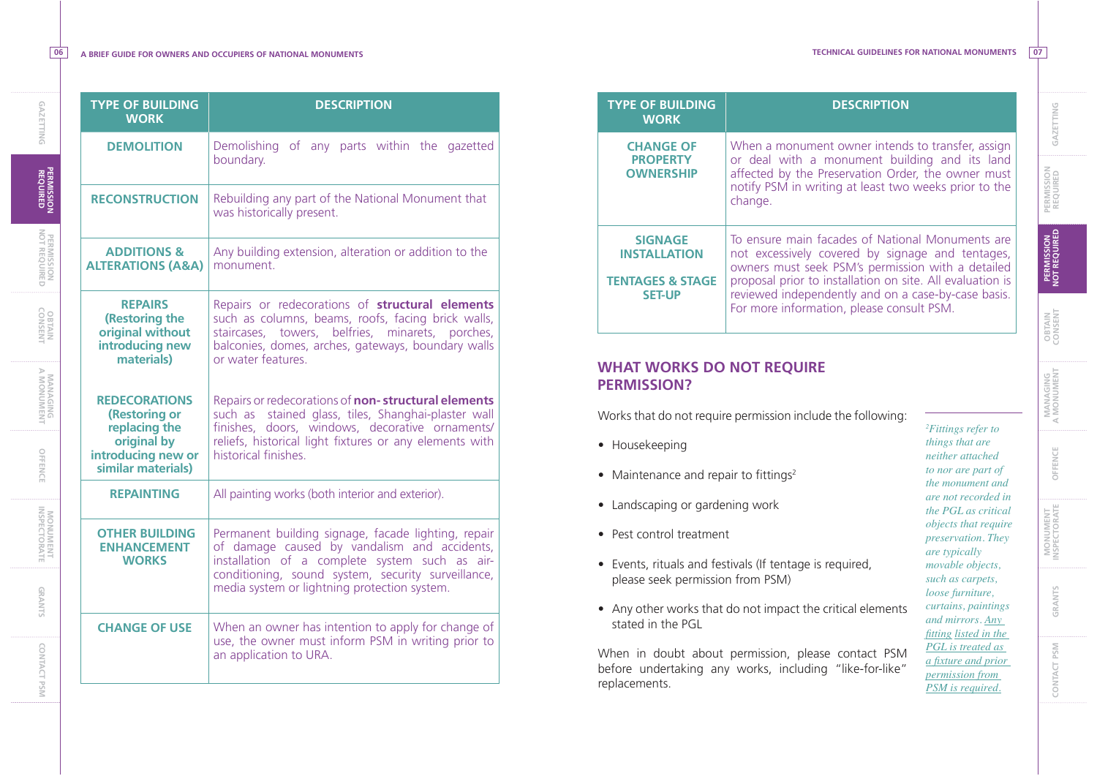**GAZETTING**

**GAZETTING** 

**06**

| <b>TYPE OF BUILDING</b><br><b>WORK</b>                                                                            | <b>DESCRIPTION</b>                                                                                                                                                                                                                                          |  |  |
|-------------------------------------------------------------------------------------------------------------------|-------------------------------------------------------------------------------------------------------------------------------------------------------------------------------------------------------------------------------------------------------------|--|--|
| <b>DEMOLITION</b>                                                                                                 | Demolishing of any parts within the gazetted<br>boundary.                                                                                                                                                                                                   |  |  |
| <b>RECONSTRUCTION</b>                                                                                             | Rebuilding any part of the National Monument that<br>was historically present.                                                                                                                                                                              |  |  |
| <b>ADDITIONS &amp;</b><br><b>ALTERATIONS (A&amp;A)</b>                                                            | Any building extension, alteration or addition to the<br>monument.                                                                                                                                                                                          |  |  |
| <b>REPAIRS</b><br>(Restoring the<br>original without<br>introducing new<br>materials)                             | Repairs or redecorations of structural elements<br>such as columns, beams, roofs, facing brick walls,<br>staircases, towers, belfries, minarets, porches,<br>balconies, domes, arches, gateways, boundary walls<br>or water features                        |  |  |
| <b>REDECORATIONS</b><br>(Restoring or<br>replacing the<br>original by<br>introducing new or<br>similar materials) | Repairs or redecorations of non-structural elements<br>such as stained glass, tiles, Shanghai-plaster wall<br>finishes, doors, windows, decorative ornaments/<br>reliefs, historical light fixtures or any elements with<br>historical finishes.            |  |  |
| <b>REPAINTING</b>                                                                                                 | All painting works (both interior and exterior).                                                                                                                                                                                                            |  |  |
| <b>OTHER BUILDING</b><br><b>ENHANCEMENT</b><br><b>WORKS</b>                                                       | Permanent building signage, facade lighting, repair<br>of damage caused by vandalism and accidents,<br>installation of a complete system such as air-<br>conditioning, sound system, security surveillance,<br>media system or lightning protection system. |  |  |
| <b>CHANGE OF USE</b>                                                                                              | When an owner has intention to apply for change of<br>use, the owner must inform PSM in writing prior to<br>an application to URA.                                                                                                                          |  |  |

| <b>TYPE OF BUILDING</b><br><b>WORK</b>                                                                                                             | <b>DESCRIPTION</b>                                                                                                                                                                                                                                                                                                         |                                                                  |  |
|----------------------------------------------------------------------------------------------------------------------------------------------------|----------------------------------------------------------------------------------------------------------------------------------------------------------------------------------------------------------------------------------------------------------------------------------------------------------------------------|------------------------------------------------------------------|--|
| <b>CHANGE OF</b><br><b>PROPERTY</b><br><b>OWNERSHIP</b>                                                                                            | When a monument owner intends to transfer, assign<br>or deal with a monument building and its land<br>affected by the Preservation Order, the owner must<br>notify PSM in writing at least two weeks prior to the<br>change.                                                                                               |                                                                  |  |
| <b>SIGNAGE</b><br><b>INSTALLATION</b><br><b>TENTAGES &amp; STAGE</b><br><b>SET-UP</b>                                                              | To ensure main facades of National Monuments are<br>not excessively covered by signage and tentages,<br>owners must seek PSM's permission with a detailed<br>proposal prior to installation on site. All evaluation is<br>reviewed independently and on a case-by-case basis.<br>For more information, please consult PSM. |                                                                  |  |
| <b>WHAT WORKS DO NOT REQUIRE</b><br><b>PERMISSION?</b><br>Works that do not require permission include the following:<br>Housekeeping<br>$\bullet$ | <sup>2</sup> Fittings refer to<br>things that are<br>neither attached<br>to nor are part of<br>the monument and<br>are not recorded in<br>the PGL as critical<br>objects that require<br>preservation. They<br>are typically<br>movable objects,<br>such as carpets,<br>loose furniture,                                   |                                                                  |  |
| Maintenance and repair to fittings <sup>2</sup><br>$\bullet$                                                                                       |                                                                                                                                                                                                                                                                                                                            |                                                                  |  |
| Landscaping or gardening work                                                                                                                      |                                                                                                                                                                                                                                                                                                                            |                                                                  |  |
| Pest control treatment                                                                                                                             |                                                                                                                                                                                                                                                                                                                            |                                                                  |  |
| Events, rituals and festivals (If tentage is required,<br>$\bullet$<br>please seek permission from PSM)                                            |                                                                                                                                                                                                                                                                                                                            |                                                                  |  |
| Any other works that do not impact the critical elements<br>stated in the PGL                                                                      |                                                                                                                                                                                                                                                                                                                            | curtains, paintings<br>and mirrors. Any<br>fitting listed in the |  |
|                                                                                                                                                    | PGL is treated as                                                                                                                                                                                                                                                                                                          |                                                                  |  |

before undertaking any works, including "like-for-like" replacements.

*a fixture and prior permission from PSM is required.*

**PERMISSION**

PERMISSION<br>REQUIRED

**OBTAIN CONSENT**

OBTAIN<br>CONSENT

**PERMISSION NOT REQUIRED**

PERMISSION<br>NOT REQUIRED

**MANAGING A MONUMENT**

MANAGING<br>A MONUMENT

**OFFENCE**

OFFENCE

**MONUMENT INSPECTORATE**

MONUMENT

**REQUIRED GAZETTING**

GAZETTING

**GRANTS**

GRANTS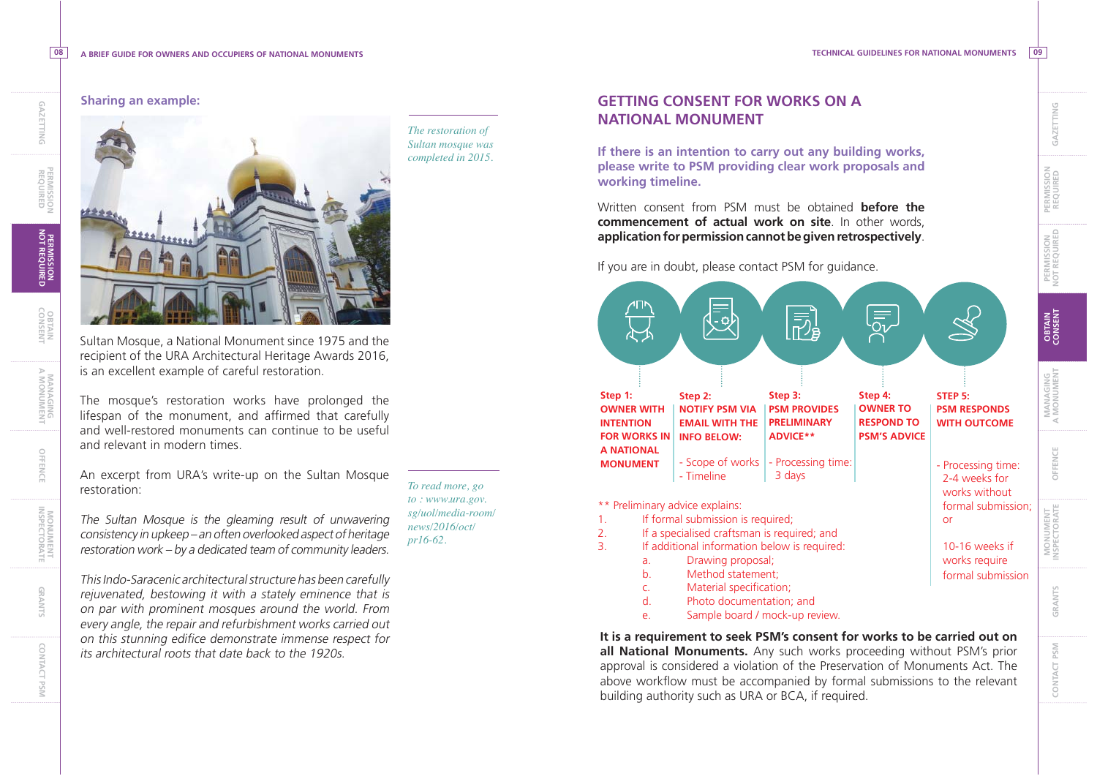#### **Sharing an example:**

**08**

Sultan Mosque, a National Monument since 1975 and the recipient of the URA Architectural Heritage Awards 2016, is an excellent example of careful restoration.

The mosque's restoration works have prolonged the lifespan of the monument, and affirmed that carefully and well-restored monuments can continue to be useful and relevant in modern times.

An excerpt from URA's write-up on the Sultan Mosque restoration:

The Sultan Mosque is the gleaming result of unwavering consistency in upkeep – an often overlooked aspect of heritage restoration work – by a dedicated team of community leaders.

This Indo-Saracenic architectural structure has been carefully rejuvenated, bestowing it with a stately eminence that is on par with prominent mosques around the world. From every angle, the repair and refurbishment works carried out on this stunning edifice demonstrate immense respect for its architectural roots that date back to the 1920s.

*The restoration of Sultan mosque was completed in 2015.*

*To read more, go to : www.ura.gov. sg/uol/media-room/ news/2016/oct/ pr16-62.*

#### **GETTING CONSENT FOR WORKS ON A NATIONAL MONUMENT**

**If there is an intention to carry out any building works, please write to PSM providing clear work proposals and working timeline.** 

Written consent from PSM must be obtained **before the commencement of actual work on site**. In other words, **application for permission cannot be given retrospectively**.

If you are in doubt, please contact PSM for guidance.

 $\bar{\bar{\nu}}$ **Step 1: Step 2: Step 3: Step 4: STEP 5: PSM PROVIDES OWNER TO OWNER WITH NOTIFY PSM VIA PSM RESPONDS PRELIMINARY RESPOND TO WITH OUTCOMEINTENTION EMAIL WITH THE ADVICE\*\*PSM'S ADVICEFOR WORKS IN INFO BELOW: A NATIONAL**  - Scope of works - Processing time: - Processing time: **MONUMENT** - Timeline 3 days 2-4 weeks for works without \*\* Preliminary advice explains: formal submission; 1. If formal submission is required; or2. If a specialised craftsman is required; and 3. If additional information below is required: 10-16 weeks if a. Drawing proposal; works require b. Method statement; formal submissionc. Material specification;

d. Photo documentation; and

e. Sample board / mock-up review.

**It is a requirement to seek PSM's consent for works to be carried out on all National Monuments.** Any such works proceeding without PSM's prior approval is considered a violation of the Preservation of Monuments Act. The above workflow must be accompanied by formal submissions to the relevant building authority such as URA or BCA, if required.

**PERMISSION**

**PERMISSION<br>REQUIRED** 

**OBTAIN CONSENT**

**OBTAIN**<br>CONSENT

**PERMISSION NOT REQUIRED**

PERMISSION<br>NOT REQUIRED

**MANAGING A MONUMENT**

MANAGING<br>A MONUMENT

**OFFENCE**

OFFENCE

**MONUMENT INSPECTORATE**

**MONUMENT**<br>INSPECTORATE

**GRANTS**

GRANTS

**CONTACT PSM**

CONTACT PSM

**REQUIRED GAZETTING**

GAZETTING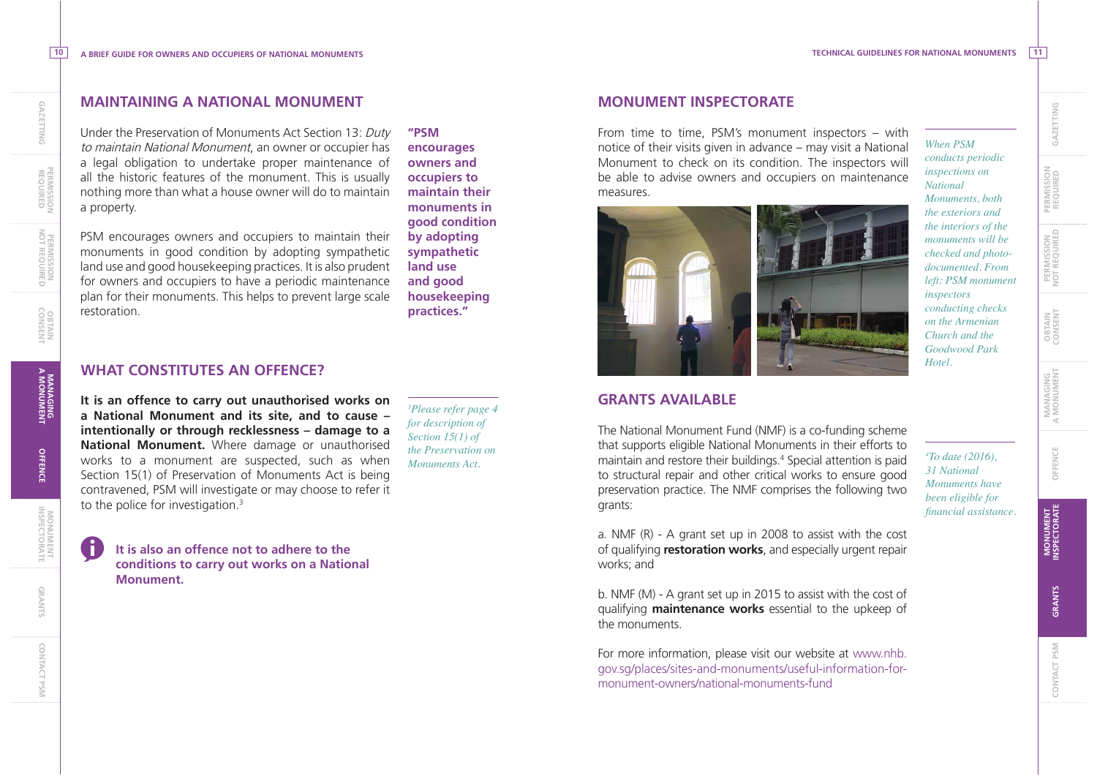*When PSM conducts periodic inspections on NationalMonuments, both the exteriors and the interiors of the monuments will be checked and photodocumented. From left: PSM monument* 

*inspectors conducting checks on the Armenian Church and the Goodwood Park* 

*Hotel.* 

 **PERMISSION PERMISSION**<br>REQUIRED

> **PERMISSION NOT REQUIRED**

PERMISSION<br>NOT REQUIRED

**OBTAIN CONSENT**

**MANAGING A MONUMENT**

**MANAGING<br>A MONUMENT** 

**OFFENCE**

**MONUMENT INSPECTORATE**

**MONUMENT**<br>INSPECTORATE

**GRANTS**

**CONTACT PSM**

CONTACT PSM

 $10$ 

#### **MAINTAINING A NATIONAL MONUMENT**

Under the Preservation of Monuments Act Section 13: Duty to maintain National Monument, an owner or occupier has a legal obligation to undertake proper maintenance of all the historic features of the monument. This is usually nothing more than what a house owner will do to maintain a property.

PSM encourages owners and occupiers to maintain their monuments in good condition by adopting sympathetic land use and good housekeeping practices. It is also prudent for owners and occupiers to have a periodic maintenance plan for their monuments. This helps to prevent large scale restoration.

**"PSM encourages owners and occupiers to maintain their monuments in good condition by adopting sympathetic land use and good housekeeping practices."**

#### **WHAT CONSTITUTES AN OFFENCE?**

**It is an offence to carry out unauthorised works on a National Monument and its site, and to cause – intentionally or through recklessness – damage to a National Monument.** Where damage or unauthorised works to a monument are suspected, such as when Section 15(1) of Preservation of Monuments Act is being contravened, PSM will investigate or may choose to refer it to the police for investigation.<sup>3</sup>

*3Please refer page 4 for description of Section 15(1) of the Preservation on Monuments Act.* 

**It is also an offence not to adhere to the conditions to carry out works on a National Monument.** 

#### **MONUMENT INSPECTORATE**

From time to time, PSM's monument inspectors – with notice of their visits given in advance – may visit a National Monument to check on its condition. The inspectors will be able to advise owners and occupiers on maintenance measures.



**GRANTS AVAILABLE**

The National Monument Fund (NMF) is a co-funding scheme that supports eligible National Monuments in their efforts to maintain and restore their buildings.4 Special attention is paid to structural repair and other critical works to ensure good preservation practice. The NMF comprises the following two grants:

*4To date (2016), 31 National Monuments have been eligible for fi nancial assistance.* 

a. NMF (R) - A grant set up in 2008 to assist with the cost of qualifying **restoration works**, and especially urgent repair works; and

b. NMF (M) - A grant set up in 2015 to assist with the cost of qualifying **maintenance works** essential to the upkeep of the monuments.

For more information, please visit our website at www.nhb. gov.sg/places/sites-and-monuments/useful-information-formonument-owners/national-monuments-fund

**OBTAIN CONSENT**

**OBTAIN**<br>CONSENT

**PERMISSION NOT REQUIRED**

PERMISSION<br>NOT REQUIRED

**PERMISSION**

PERMISSION<br>REQUIRED

**REQUIRED GAZETTING**

GAZETTING